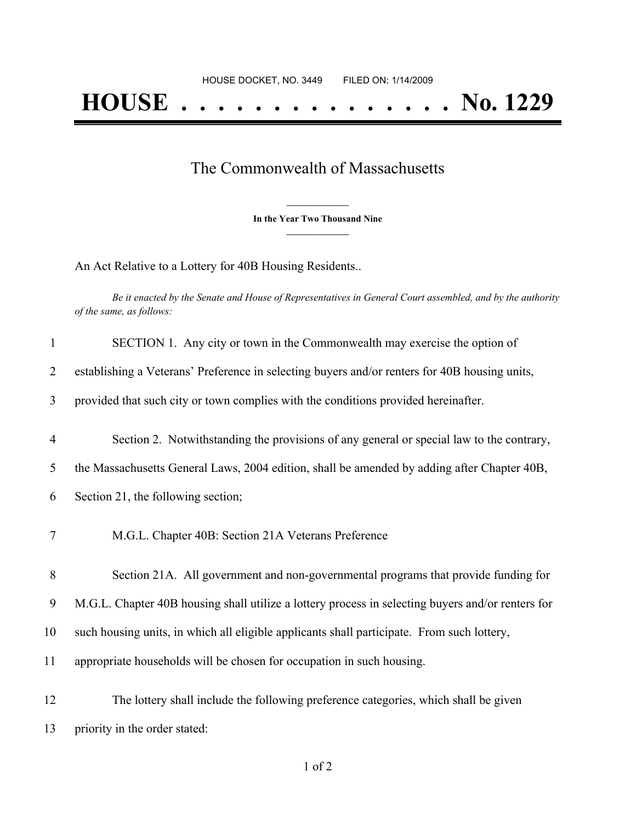## The Commonwealth of Massachusetts

**\_\_\_\_\_\_\_\_\_\_\_\_\_\_\_ In the Year Two Thousand Nine \_\_\_\_\_\_\_\_\_\_\_\_\_\_\_**

An Act Relative to a Lottery for 40B Housing Residents..

Be it enacted by the Senate and House of Representatives in General Court assembled, and by the authority *of the same, as follows:*

| $\mathbf{1}$   | SECTION 1. Any city or town in the Commonwealth may exercise the option of                        |
|----------------|---------------------------------------------------------------------------------------------------|
| 2              | establishing a Veterans' Preference in selecting buyers and/or renters for 40B housing units,     |
| 3              | provided that such city or town complies with the conditions provided hereinafter.                |
| $\overline{4}$ | Section 2. Notwithstanding the provisions of any general or special law to the contrary,          |
| 5              | the Massachusetts General Laws, 2004 edition, shall be amended by adding after Chapter 40B,       |
| 6              | Section 21, the following section;                                                                |
| 7              | M.G.L. Chapter 40B: Section 21A Veterans Preference                                               |
| 8              | Section 21A. All government and non-governmental programs that provide funding for                |
| 9              | M.G.L. Chapter 40B housing shall utilize a lottery process in selecting buyers and/or renters for |
| 10             | such housing units, in which all eligible applicants shall participate. From such lottery,        |
| 11             | appropriate households will be chosen for occupation in such housing.                             |
| 12             | The lottery shall include the following preference categories, which shall be given               |
| 13             | priority in the order stated:                                                                     |